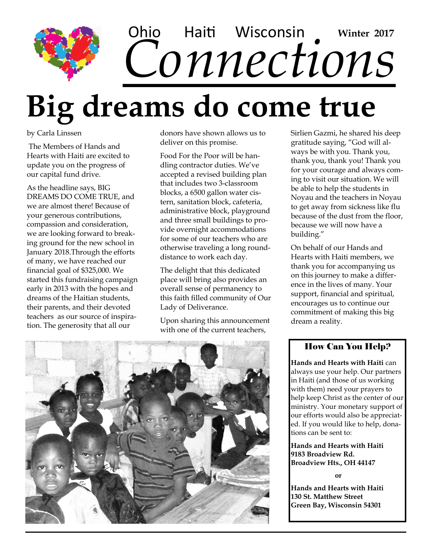## Ohio Haiti Wisconsin Winter 2017<br>CONNECTIONS Haiti Wisconsin **Winter 2017**

# **Big dreams do come true**

by Carla Linssen

The Members of Hands and Hearts with Haiti are excited to update you on the progress of our capital fund drive.

As the headline says, BIG DREAMS DO COME TRUE, and we are almost there! Because of your generous contributions, compassion and consideration, we are looking forward to breaking ground for the new school in January 2018.Through the efforts of many, we have reached our financial goal of \$325,000. We started this fundraising campaign early in 2013 with the hopes and dreams of the Haitian students, their parents, and their devoted teachers as our source of inspiration. The generosity that all our

donors have shown allows us to deliver on this promise.

Food For the Poor will be handling contractor duties. We've accepted a revised building plan that includes two 3-classroom blocks, a 6500 gallon water cistern, sanitation block, cafeteria, administrative block, playground and three small buildings to provide overnight accommodations for some of our teachers who are otherwise traveling a long rounddistance to work each day.

The delight that this dedicated place will bring also provides an overall sense of permanency to this faith filled community of Our Lady of Deliverance.

Upon sharing this announcement with one of the current teachers,



Sirlien Gazmi, he shared his deep gratitude saying, "God will always be with you. Thank you, thank you, thank you! Thank you for your courage and always coming to visit our situation. We will be able to help the students in Noyau and the teachers in Noyau to get away from sickness like flu because of the dust from the floor, because we will now have a building."

On behalf of our Hands and Hearts with Haiti members, we thank you for accompanying us on this journey to make a difference in the lives of many. Your support, financial and spiritual, encourages us to continue our commitment of making this big dream a reality.

#### How Can You Help?

**Hands and Hearts with Haiti** can always use your help. Our partners in Haiti (and those of us working with them) need your prayers to help keep Christ as the center of our ministry. Your monetary support of our efforts would also be appreciated. If you would like to help, donations can be sent to:

**Hands and Hearts with Haiti 9183 Broadview Rd. Broadview Hts., OH 44147**

**or** 

**Hands and Hearts with Haiti 130 St. Matthew Street Green Bay, Wisconsin 54301**